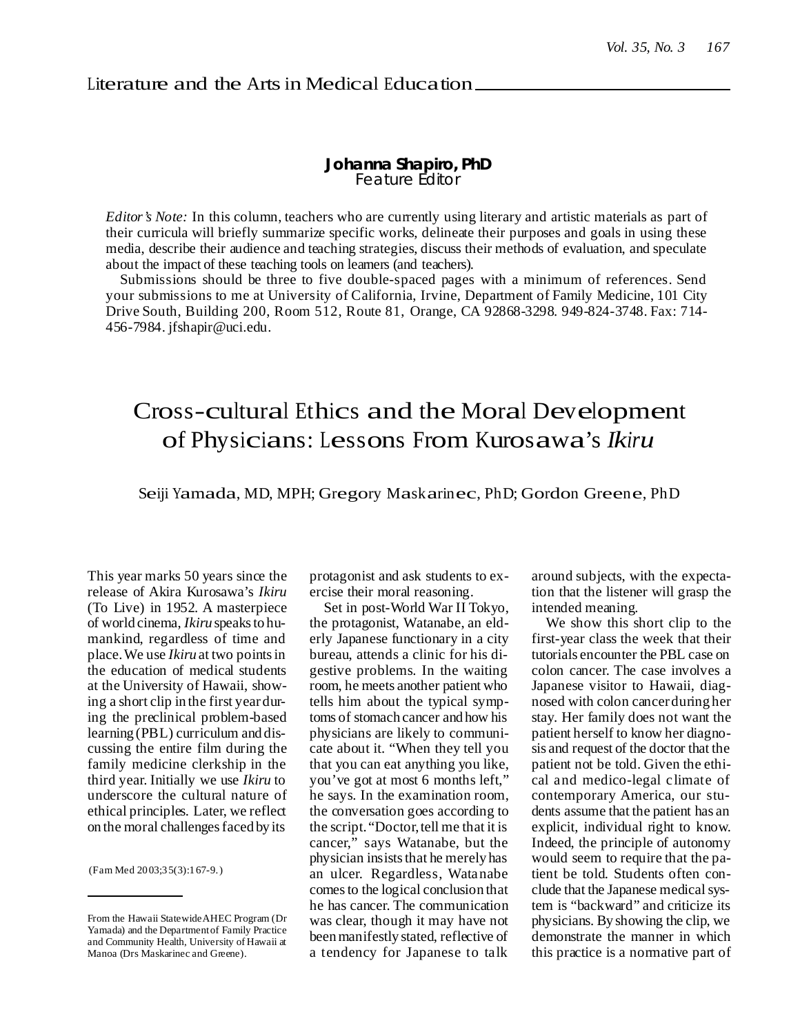## **Johanna Shapiro, PhD** Feature Editor

*Editor's Note:* In this column, teachers who are currently using literary and artistic materials as part of their curricula will briefly summarize specific works, delineate their purposes and goals in using these media, describe their audience and teaching strategies, discuss their methods of evaluation, and speculate about the impact of these teaching tools on learners (and teachers).

Submissions should be three to five double-spaced pages with a minimum of references. Send your submissions to me at University of California, Irvine, Department of Family Medicine, 101 City Drive South, Building 200, Room 512, Route 81, Orange, CA 92868-3298. 949-824-3748. Fax: 714- 456-7984. jfshapir@uci.edu.

## Cross-cultural Ethics and the Moral Development of Physicians: Lessons From Kurosawa's *Ikiru*

Seiji Yamada, MD, MPH; Gregory Maskarinec, PhD; Gordon Greene, PhD

This year marks 50 years since the release of Akira Kurosawa's *Ikiru* (To Live) in 1952. A masterpiece of world cinema, *Ikiru* speaksto humankind, regardless of time and place.We use *Ikiru* at two pointsin the education of medical students at the University of Hawaii, showing a short clip in the first yearduring the preclinical problem-based learning (PBL) curriculum and discussing the entire film during the family medicine clerkship in the third year. Initially we use *Ikiru* to underscore the cultural nature of ethical principles. Later, we reflect on the moral challengesfaced by its

(Fam Med 2003;35(3):167-9.)

protagonist and ask students to exercise their moral reasoning.

Set in post-World War II Tokyo, the protagonist, Watanabe, an elderly Japanese functionary in a city bureau, attends a clinic for his digestive problems. In the waiting room, he meets another patient who tells him about the typical symptoms of stomach cancer and how his physicians are likely to communicate about it. "When they tell you that you can eat anything you like, you've got at most 6 months left," he says. In the examination room, the conversation goes according to the script. "Doctor, tell me that it is cancer," says Watanabe, but the physician insists that he merely has an ulcer. Regardless, Watanabe comesto the logical conclusion that he has cancer. The communication was clear, though it may have not beenmanifestly stated, reflective of a tendency for Japanese to talk

around subjects, with the expectation that the listener will grasp the intended meaning.

We show this short clip to the first-year class the week that their tutorials encounter the PBL case on colon cancer. The case involves a Japanese visitor to Hawaii, diagnosed with colon cancerduring her stay. Her family does not want the patient herself to know her diagnosis and request of the doctor that the patient not be told. Given the ethical and medico-legal climate of contemporary America, our students assume that the patient has an explicit, individual right to know. Indeed, the principle of autonomy would seem to require that the patient be told. Students often conclude that the Japanese medical system is "backward" and criticize its physicians. By showing the clip, we demonstrate the manner in which this practice is a normative part of

From the Hawaii StatewideAHEC Program (Dr Yamada) and the Departmentof Family Practice and Community Health, University of Hawaii at Manoa (Drs Maskarinec and Greene).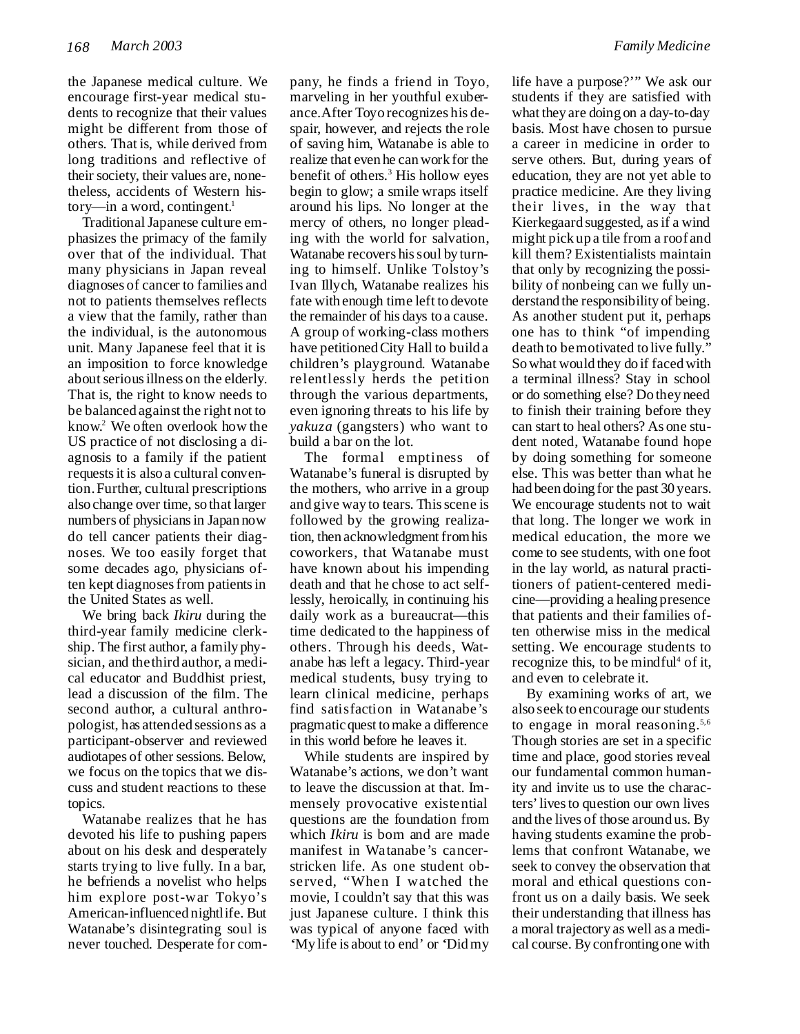the Japanese medical culture. We encourage first-year medical students to recognize that their values might be different from those of others. That is, while derived from long traditions and reflective of their society, their values are, nonetheless, accidents of Western history—in a word, contingent. 1

TraditionalJapanese culture emphasizes the primacy of the family over that of the individual. That many physicians in Japan reveal diagnoses of cancer to families and not to patients themselves reflects a view that the family, rather than the individual, is the autonomous unit. Many Japanese feel that it is an imposition to force knowledge about serious illness on the elderly. That is, the right to know needs to be balanced against the right not to know. <sup>2</sup> We often overlook how the US practice of not disclosing a diagnosis to a family if the patient requestsit is also a cultural convention.Further, cultural prescriptions also change over time, so that larger numbers of physicians in Japan now do tell cancer patients their diagnoses. We too easily forget that some decades ago, physicians often kept diagnosesfrom patientsin the United States as well.

We bring back *Ikiru* during the third-year family medicine clerkship. The first author, a family physician, and thethird author, a medical educator and Buddhist priest, lead a discussion of the film. The second author, a cultural anthropologist, has attended sessions as a participant-observer and reviewed audiotapes of other sessions. Below, we focus on the topics that we discuss and student reactions to these topics.

Watanabe realizes that he has devoted his life to pushing papers about on his desk and desperately starts trying to live fully. In a bar, he befriends a novelist who helps him explore post-war Tokyo's American-influenced nightlife. But Watanabe's disintegrating soul is never touched. Desperate for com-

pany, he finds a friend in Toyo, marveling in her youthful exuberance.After Toyo recognizes his despair, however, and rejects the role of saving him, Watanabe is able to realize that even he canwork for the benefit of others. <sup>3</sup> His hollow eyes begin to glow; a smile wraps itself around his lips. No longer at the mercy of others, no longer pleading with the world for salvation, Watanabe recovers his soul by turning to himself. Unlike Tolstoy's Ivan Illych, Watanabe realizes his fate with enough time left to devote the remainder of his days to a cause. A group of working-class mothers have petitionedCity Hall to build a children's playground. Watanabe relentlessly herds the petition through the various departments, even ignoring threats to his life by *yakuza* (gangsters) who want to build a bar on the lot.

The formal emptiness of Watanabe's funeral is disrupted by the mothers, who arrive in a group and give way to tears. Thisscene is followed by the growing realization, then acknowledgment fromhis coworkers, that Watanabe must have known about his impending death and that he chose to act selflessly, heroically, in continuing his daily work as a bureaucrat—this time dedicated to the happiness of others. Through his deeds, Watanabe has left a legacy. Third-year medical students, busy trying to learn clinical medicine, perhaps find satisfaction in Watanabe's pragmaticquest tomake a difference in this world before he leaves it.

While students are inspired by Watanabe's actions, we don't want to leave the discussion at that. Immensely provocative existential questions are the foundation from which *Ikiru* is born and are made manifest in Watanabe's cancerstricken life. As one student observed, "When I watched the movie, I couldn't say that this was just Japanese culture. I think this was typical of anyone faced with 'My life is about to end' or 'Didmy life have a purpose?'" We ask our students if they are satisfied with what they are doing on a day-to-day basis. Most have chosen to pursue a career in medicine in order to serve others. But, during years of education, they are not yet able to practice medicine. Are they living their lives, in the way that Kierkegaard suggested, asif a wind might pick up a tile from a roof and kill them? Existentialists maintain that only by recognizing the possibility of nonbeing can we fully understand the responsibility of being. As another student put it, perhaps one has to think "of impending death to bemotivated to live fully." Sowhat would they do if facedwith a terminal illness? Stay in school or do something else? Do they need to finish their training before they can start to heal others? As one student noted, Watanabe found hope by doing something for someone else. This was better than what he had been doing for the past 30 years. We encourage students not to wait that long. The longer we work in medical education, the more we come to see students, with one foot in the lay world, as natural practitioners of patient-centered medicine—providing a healing presence that patients and their families often otherwise miss in the medical setting. We encourage students to recognize this, to be mindful <sup>4</sup> of it, and even to celebrate it.

By examining works of art, we also seek to encourage our students to engage in moral reasoning.<sup>5,6</sup> Though stories are set in a specific time and place, good stories reveal our fundamental common humanity and invite us to use the characters'livesto question our own lives and the lives of those around us. By having students examine the problems that confront Watanabe, we seek to convey the observation that moral and ethical questions confront us on a daily basis. We seek their understanding that illness has a moral trajectory as well as a medical course. By confronting one with